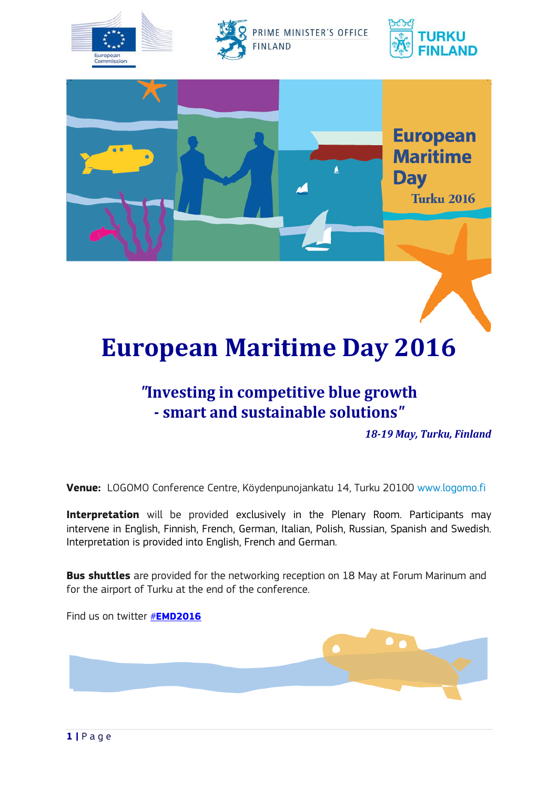



# **European Maritime Day 2016**

# *"***Investing in competitive blue growth - smart and sustainable solutions***"*

*18-19 May, Turku, Finland*

**Venue:** LOGOMO Conference Centre, Köydenpunojankatu 14, Turku 20100 [www.logomo.fi](http://www.logomo.fi/)

**Interpretation** will be provided exclusively in the Plenary Room. Participants may intervene in English, Finnish, French, German, Italian, Polish, Russian, Spanish and Swedish. Interpretation is provided into English, French and German.

**Bus shuttles** are provided for the networking reception on 18 May at Forum Marinum and for the airport of Turku at the end of the conference.

Find us on twitter #**EMD2016**

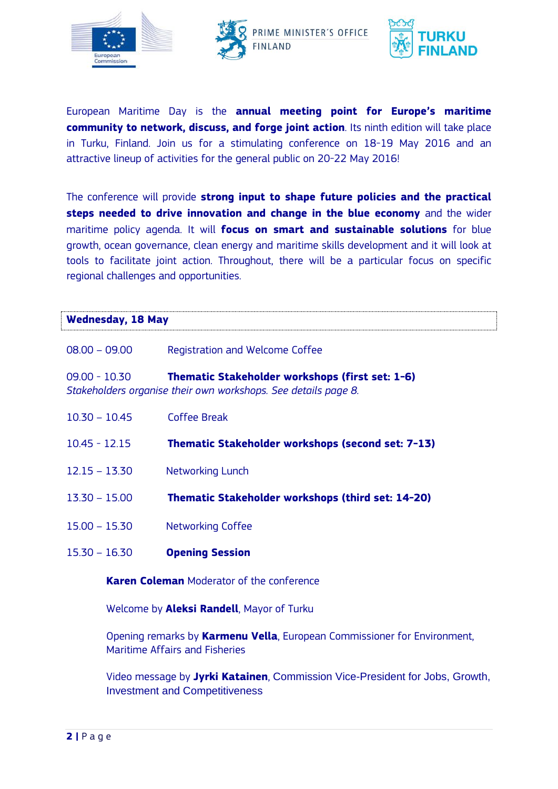





European Maritime Day is the **annual meeting point for Europe's maritime community to network, discuss, and forge joint action**. Its ninth edition will take place in Turku, Finland. Join us for a stimulating conference on 18-19 May 2016 and an attractive lineup of activities for the general public on 20-22 May 2016!

The conference will provide **strong input to shape future policies and the practical steps needed to drive innovation and change in the blue economy** and the wider maritime policy agenda. It will **focus on smart and sustainable solutions** for blue growth, ocean governance, clean energy and maritime skills development and it will look at tools to facilitate joint action. Throughout, there will be a particular focus on specific regional challenges and opportunities.

| <b>Wednesday, 18 May</b>                                                                                                             |                                                   |
|--------------------------------------------------------------------------------------------------------------------------------------|---------------------------------------------------|
| $08.00 - 09.00$                                                                                                                      | Registration and Welcome Coffee                   |
| $09.00 - 10.30$<br>Thematic Stakeholder workshops (first set: 1-6)<br>Stakeholders organise their own workshops. See details page 8. |                                                   |
| $10.30 - 10.45$                                                                                                                      | <b>Coffee Break</b>                               |
| $10.45 - 12.15$                                                                                                                      | Thematic Stakeholder workshops (second set: 7-13) |
| $12.15 - 13.30$                                                                                                                      | <b>Networking Lunch</b>                           |
| $13.30 - 15.00$                                                                                                                      | Thematic Stakeholder workshops (third set: 14-20) |
| $15.00 - 15.30$                                                                                                                      | <b>Networking Coffee</b>                          |
| $15.30 - 16.30$                                                                                                                      | <b>Opening Session</b>                            |
| Karen Coleman Moderator of the conference                                                                                            |                                                   |
| Welcome by Aleksi Randell, Mayor of Turku                                                                                            |                                                   |
| Opening remarks by Karmenu Vella, European Commissioner for Environment,<br><b>Maritime Affairs and Fisheries</b>                    |                                                   |
| Video message by Jyrki Katainen, Commission Vice-President for Jobs, Growth,<br><b>Investment and Competitiveness</b>                |                                                   |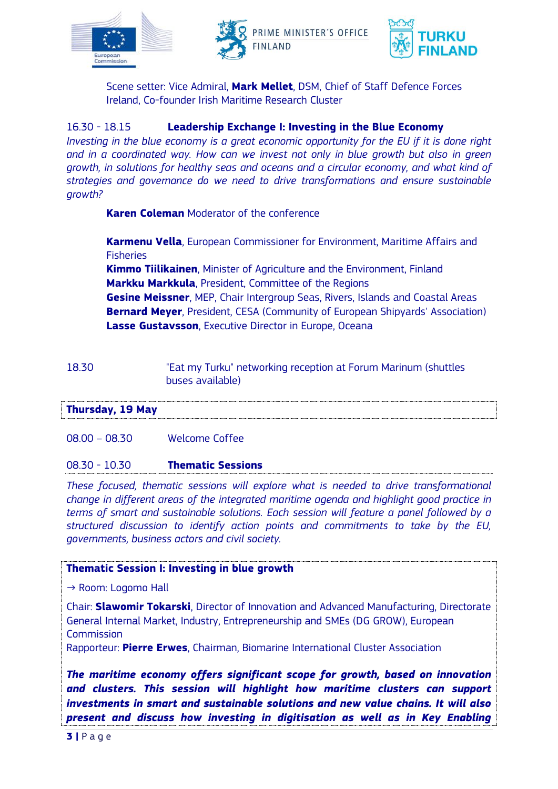





Scene setter: Vice Admiral, **Mark Mellet**, DSM, [Chief of Staff](https://en.wikipedia.org/wiki/Chief_of_Staff_of_the_Defence_Forces_(Ireland)) [Defence Forces](https://en.wikipedia.org/wiki/Defence_Forces_(Ireland))  [Ireland,](https://en.wikipedia.org/wiki/Defence_Forces_(Ireland)) Co-founder Irish Maritime Research Cluster

# 16.30 - 18.15 **Leadership Exchange I: Investing in the Blue Economy**

*Investing in the blue economy is a great economic opportunity for the EU if it is done right and in a coordinated way. How can we invest not only in blue growth but also in green growth, in solutions for healthy seas and oceans and a circular economy, and what kind of strategies and governance do we need to drive transformations and ensure sustainable growth?*

**Karen Coleman** Moderator of the conference

**Karmenu Vella**, European Commissioner for Environment, Maritime Affairs and **Fisheries Kimmo Tiilikainen**, Minister of Agriculture and the Environment, Finland

**Markku Markkula**, President, Committee of the Regions **Gesine Meissner**, MEP, Chair Intergroup Seas, Rivers, Islands and Coastal Areas **Bernard Meyer, President, CESA (Community of European Shipyards' Association) Lasse Gustavsson**, Executive Director in Europe, Oceana

| 18.30 | "Eat my Turku" networking reception at Forum Marinum (shuttles |
|-------|----------------------------------------------------------------|
|       | buses available)                                               |

# **Thursday, 19 May**

08.00 – 08.30 Welcome Coffee

08.30 - 10.30 **Thematic Sessions**

*These focused, thematic sessions will explore what is needed to drive transformational change in different areas of the integrated maritime agenda and highlight good practice in terms of smart and sustainable solutions. Each session will feature a panel followed by a structured discussion to identify action points and commitments to take by the EU, governments, business actors and civil society.* 

# **Thematic Session I: Investing in blue growth**

→ Room: Logomo Hall

Chair: **Slawomir Tokarski**, Director of Innovation and Advanced Manufacturing, Directorate General Internal Market, Industry, Entrepreneurship and SMEs (DG GROW), European Commission

Rapporteur: **Pierre Erwes**, Chairman, Biomarine International Cluster Association

*The maritime economy offers significant scope for growth, based on innovation and clusters. This session will highlight how maritime clusters can support investments in smart and sustainable solutions and new value chains. It will also present and discuss how investing in digitisation as well as in Key Enabling*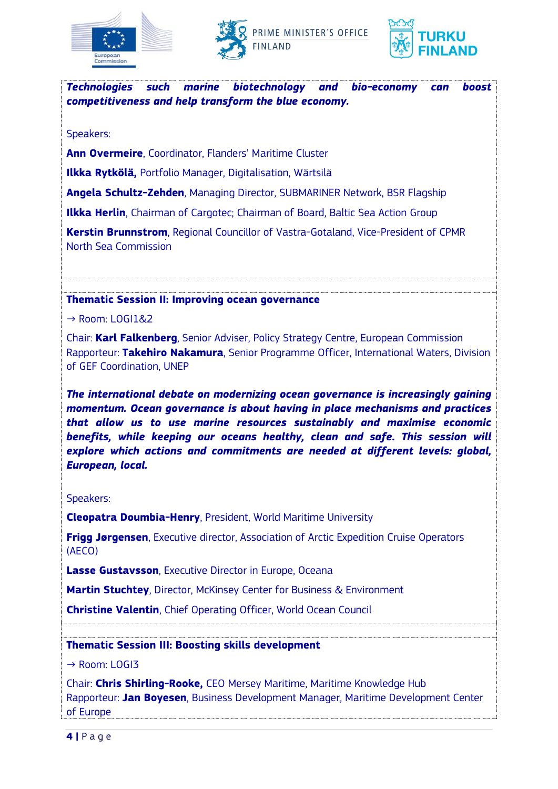





*Technologies such marine biotechnology and bio-economy can boost competitiveness and help transform the blue economy.*

Speakers:

**Ann Overmeire**, Coordinator, Flanders' Maritime Cluster

**Ilkka Rytkölä,** Portfolio Manager, Digitalisation, Wärtsilä

**Angela Schultz-Zehden**, Managing Director, SUBMARINER Network, BSR Flagship

**Ilkka Herlin**, Chairman of Cargotec; Chairman of Board, Baltic Sea Action Group

**Kerstin Brunnstrom**, Regional Councillor of Vastra-Gotaland, Vice-President of CPMR North Sea Commission

#### **Thematic Session II: Improving ocean governance**

 $\rightarrow$  Room: LOGI1&2

Chair: **Karl Falkenberg**, Senior Adviser, Policy Strategy Centre, European Commission Rapporteur: **Takehiro Nakamura**, Senior Programme Officer, International Waters, Division of GEF Coordination, UNEP

*The international debate on modernizing ocean governance is increasingly gaining momentum. Ocean governance is about having in place mechanisms and practices that allow us to use marine resources sustainably and maximise economic benefits, while keeping our oceans healthy, clean and safe. This session will explore which actions and commitments are needed at different levels: global, European, local.*

Speakers:

**Cleopatra Doumbia-Henry**, President, World Maritime University

**Frigg Jørgensen**, Executive director, Association of Arctic Expedition Cruise Operators (AECO)

**Lasse Gustavsson**, Executive Director in Europe, Oceana

**Martin Stuchtey**, Director, McKinsey Center for Business & Environment

**Christine Valentin**, Chief Operating Officer, World Ocean Council

**Thematic Session III: Boosting skills development** 

→ Room: LOGI3

Chair: **Chris Shirling-Rooke,** CEO Mersey Maritime, Maritime Knowledge Hub Rapporteur: **Jan Boyesen**, Business Development Manager, Maritime Development Center of Europe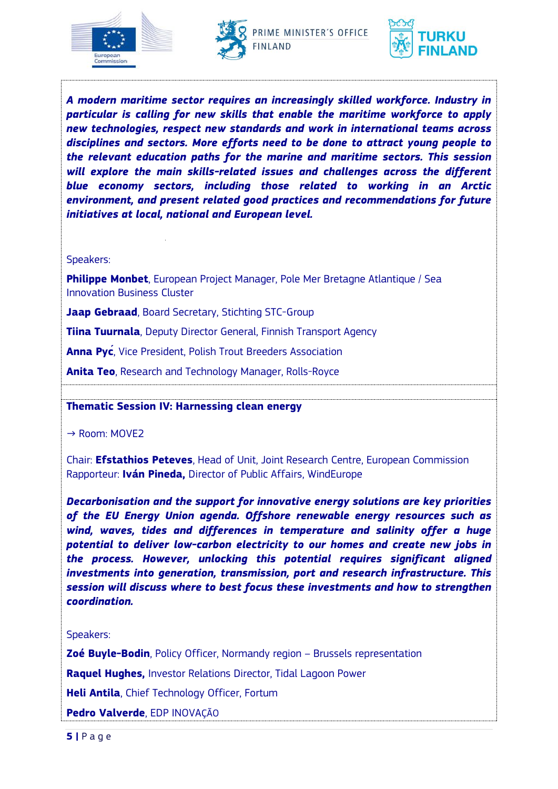





*A modern maritime sector requires an increasingly skilled workforce. Industry in particular is calling for new skills that enable the maritime workforce to apply new technologies, respect new standards and work in international teams across disciplines and sectors. More efforts need to be done to attract young people to the relevant education paths for the marine and maritime sectors. This session will explore the main skills-related issues and challenges across the different blue economy sectors, including those related to working in an Arctic environment, and present related good practices and recommendations for future initiatives at local, national and European level.*

Speakers:

**Philippe Monbet**, European Project Manager, Pole Mer Bretagne Atlantique / Sea Innovation Business Cluster

**Jaap Gebraad**, Board Secretary, Stichting STC-Group

**Tiina Tuurnala**, Deputy Director General, Finnish Transport Agency

**Anna Pyc.** Vice President, Polish Trout Breeders Association

**Anita Teo**, Research and Technology Manager, Rolls-Royce

#### **Thematic Session IV: Harnessing clean energy**

→ Room: MOVE2

Chair: **Efstathios Peteves**, Head of Unit, Joint Research Centre, European Commission Rapporteur: **Iván Pineda,** Director of Public Affairs, WindEurope

*Decarbonisation and the support for innovative energy solutions are key priorities of the EU Energy Union agenda. Offshore renewable energy resources such as wind, waves, tides and differences in temperature and salinity offer a huge potential to deliver low-carbon electricity to our homes and create new jobs in the process. However, unlocking this potential requires significant aligned investments into generation, transmission, port and research infrastructure. This session will discuss where to best focus these investments and how to strengthen coordination.*

Speakers:

**Zoé Buyle-Bodin**, Policy Officer, Normandy region – Brussels representation

**Raquel Hughes,** Investor Relations Director, Tidal Lagoon Power

**Heli Antila**, Chief Technology Officer, Fortum

**Pedro Valverde**, EDP INOVAÇÃO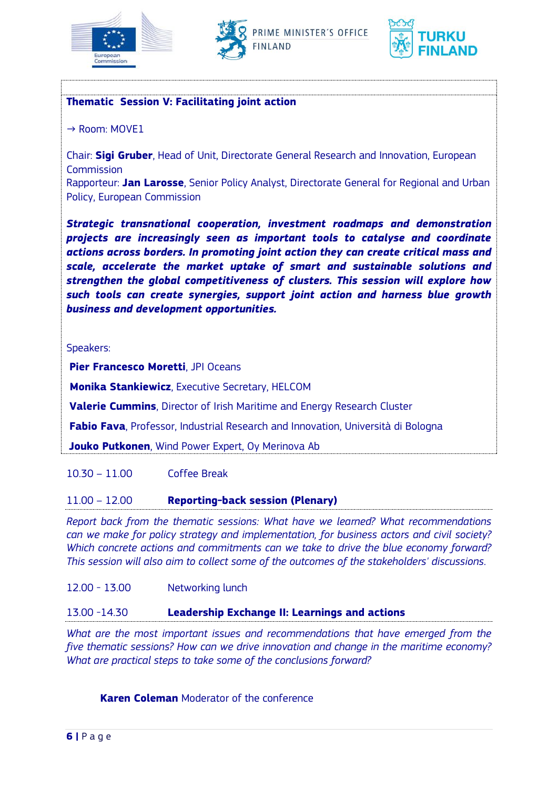





## **Thematic Session V: Facilitating joint action**

→ Room: MOVE1

Chair: **Sigi Gruber**, Head of Unit, Directorate General Research and Innovation, European Commission

Rapporteur: **Jan Larosse**, Senior Policy Analyst, Directorate General for Regional and Urban Policy, European Commission

*Strategic transnational cooperation, investment roadmaps and demonstration projects are increasingly seen as important tools to catalyse and coordinate actions across borders. In promoting joint action they can create critical mass and scale, accelerate the market uptake of smart and sustainable solutions and strengthen the global competitiveness of clusters. This session will explore how such tools can create synergies, support joint action and harness blue growth business and development opportunities.* 

Speakers:

**Pier Francesco Moretti, JPI Oceans** 

**Monika Stankiewicz**, Executive Secretary, HELCOM

**Valerie Cummins**, Director of Irish Maritime and Energy Research Cluster

**Fabio Fava**, Professor, Industrial Research and Innovation, Università di Bologna

**Jouko Putkonen**, Wind Power Expert, Oy Merinova Ab

10.30 – 11.00 Coffee Break

#### 11.00 – 12.00 **Reporting-back session (Plenary)**

*Report back from the thematic sessions: What have we learned? What recommendations can we make for policy strategy and implementation, for business actors and civil society? Which concrete actions and commitments can we take to drive the blue economy forward? This session will also aim to collect some of the outcomes of the stakeholders' discussions*.

#### 12.00 - 13.00 Networking lunch

#### 13.00 -14.30 **Leadership Exchange II: Learnings and actions**

*What are the most important issues and recommendations that have emerged from the five thematic sessions? How can we drive innovation and change in the maritime economy? What are practical steps to take some of the conclusions forward?*

#### **Karen Coleman** Moderator of the conference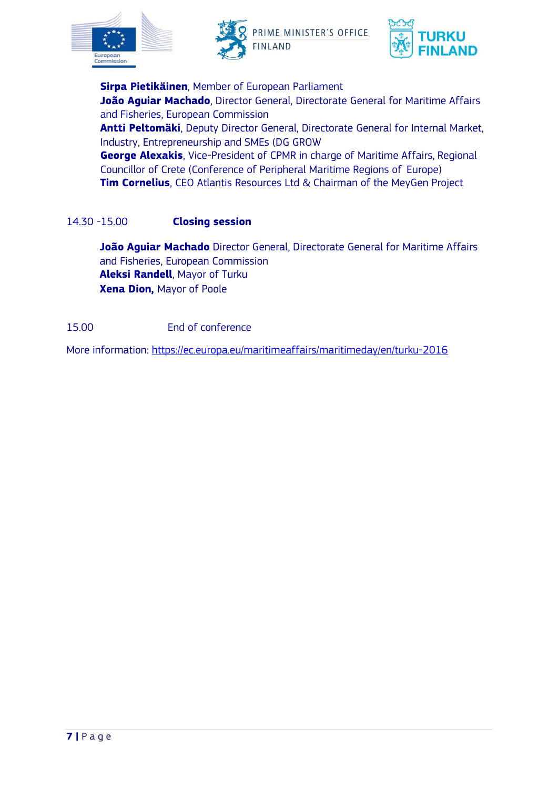





**Sirpa Pietikäinen**, Member of European Parliament **João Aguiar Machado**, Director General, Directorate General for Maritime Affairs and Fisheries, European Commission **Antti Peltomäki**, Deputy Director General, Directorate General for Internal Market, Industry, Entrepreneurship and SMEs (DG GROW

**George Alexakis**, Vice-President of CPMR in charge of Maritime Affairs, Regional Councillor of Crete (Conference of Peripheral Maritime Regions of Europe) **Tim Cornelius**, CEO Atlantis Resources Ltd & Chairman of the MeyGen Project

# 14.30 -15.00 **Closing session**

**João Aguiar Machado** Director General, Directorate General for Maritime Affairs and Fisheries, European Commission **Aleksi Randell**, Mayor of Turku **Xena Dion,** Mayor of Poole

# 15.00 End of conference

More information:<https://ec.europa.eu/maritimeaffairs/maritimeday/en/turku-2016>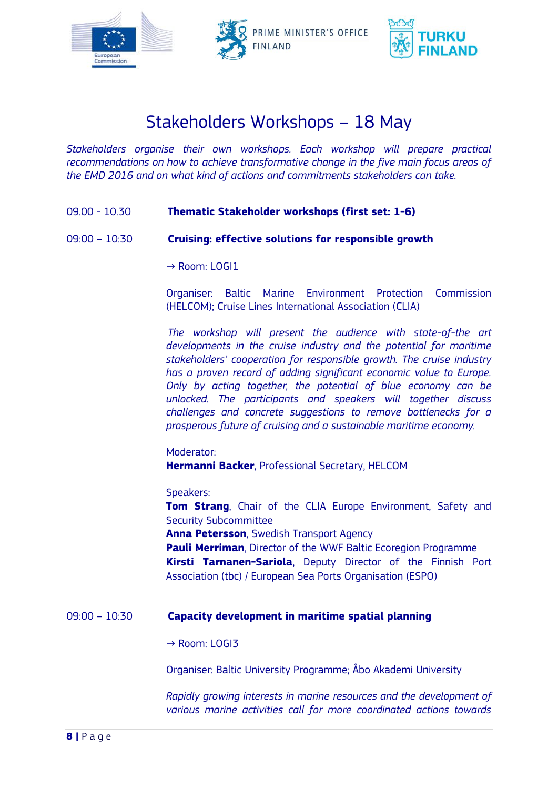





# Stakeholders Workshops – 18 May

*Stakeholders organise their own workshops. Each workshop will prepare practical recommendations on how to achieve transformative change in the five main focus areas of the EMD 2016 and on what kind of actions and commitments stakeholders can take.*

09.00 - 10.30 **Thematic Stakeholder workshops (first set: 1-6)**

#### 09:00 – 10:30 **Cruising: effective solutions for responsible growth**

 $\rightarrow$  Room: LOGI1

Organiser: Baltic Marine Environment Protection Commission (HELCOM); Cruise Lines International Association (CLIA)

*The workshop will present the audience with state-of-the art developments in the cruise industry and the potential for maritime stakeholders' cooperation for responsible growth. The cruise industry has a proven record of adding significant economic value to Europe. Only by acting together, the potential of blue economy can be unlocked. The participants and speakers will together discuss challenges and concrete suggestions to remove bottlenecks for a prosperous future of cruising and a sustainable maritime economy.*

Moderator: **Hermanni Backer**, Professional Secretary, HELCOM

Speakers:

**Tom Strang**, Chair of the CLIA Europe Environment, Safety and Security Subcommittee **Anna Petersson**, Swedish Transport Agency **Pauli Merriman**, Director of the WWF Baltic Ecoregion Programme **Kirsti Tarnanen-Sariola**, Deputy Director of the Finnish Port Association (tbc) / European Sea Ports Organisation (ESPO)

#### 09:00 – 10:30 **Capacity development in maritime spatial planning**

→ Room: LOGI3

Organiser: Baltic University Programme; Åbo Akademi University

*Rapidly growing interests in marine resources and the development of various marine activities call for more coordinated actions towards*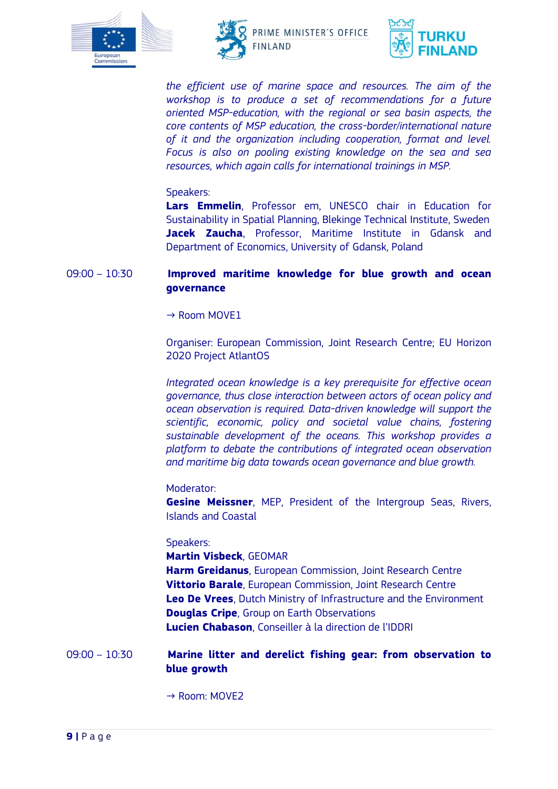





*the efficient use of marine space and resources. The aim of the workshop is to produce a set of recommendations for a future oriented MSP-education, with the regional or sea basin aspects, the core contents of MSP education, the cross-border/international nature of it and the organization including cooperation, format and level. Focus is also on pooling existing knowledge on the sea and sea resources, which again calls for international trainings in MSP.*

#### Speakers:

**Lars Emmelin**, Professor em, UNESCO chair in Education for Sustainability in Spatial Planning, Blekinge Technical Institute, Sweden **Jacek Zaucha**, Professor, Maritime Institute in Gdansk and Department of Economics, University of Gdansk, Poland

# 09:00 – 10:30 **Improved maritime knowledge for blue growth and ocean governance**

 $\rightarrow$  Room MOVE1

Organiser: European Commission, Joint Research Centre; EU Horizon 2020 Project AtlantOS

*Integrated ocean knowledge is a key prerequisite for effective ocean governance, thus close interaction between actors of ocean policy and ocean observation is required. Data-driven knowledge will support the scientific, economic, policy and societal value chains, fostering sustainable development of the oceans. This workshop provides a platform to debate the contributions of integrated ocean observation and maritime big data towards ocean governance and blue growth.*

#### Moderator:

**Gesine Meissner**, MEP, President of the Intergroup Seas, Rivers, Islands and Coastal

#### Speakers:

**Martin Visbeck**, GEOMAR **Harm Greidanus**, European Commission, Joint Research Centre **Vittorio Barale**, European Commission, Joint Research Centre **Leo De Vrees**, Dutch Ministry of Infrastructure and the Environment **Douglas Cripe**, Group on Earth Observations **Lucien Chabason**, Conseiller à la direction de l'IDDRI

09:00 – 10:30 **Marine litter and derelict fishing gear: from observation to blue growth**

→ Room: MOVE2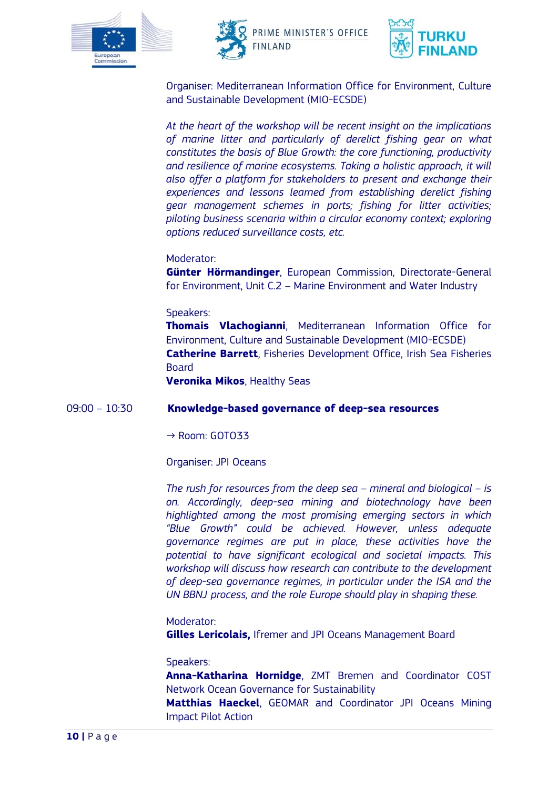





Organiser: Mediterranean Information Office for Environment, Culture and Sustainable Development (MIO-ECSDE)

*At the heart of the workshop will be recent insight on the implications of marine litter and particularly of derelict fishing gear on what constitutes the basis of Blue Growth: the core functioning, productivity and resilience of marine ecosystems. Taking a holistic approach, it will also offer a platform for stakeholders to present and exchange their experiences and lessons learned from establishing derelict fishing gear management schemes in ports; fishing for litter activities; piloting business scenaria within a circular economy context; exploring options reduced surveillance costs, etc.*

#### Moderator:

**Günter Hörmandinger**, European Commission, Directorate-General for Environment, Unit C.2 – Marine Environment and Water Industry

#### Speakers:

**Thomais Vlachogianni**, Mediterranean Information Office for Environment, Culture and Sustainable Development (MIO-ECSDE) **Catherine Barrett**, Fisheries Development Office, Irish Sea Fisheries Board

**Veronika Mikos**, Healthy Seas

#### 09:00 – 10:30 **Knowledge-based governance of deep-sea resources**

 $\rightarrow$  Room: GOTO33

Organiser: JPI Oceans

*The rush for resources from the deep sea – mineral and biological – is on. Accordingly, deep-sea mining and biotechnology have been highlighted among the most promising emerging sectors in which "Blue Growth" could be achieved. However, unless adequate governance regimes are put in place, these activities have the potential to have significant ecological and societal impacts. This workshop will discuss how research can contribute to the development of deep-sea governance regimes, in particular under the ISA and the UN BBNJ process, and the role Europe should play in shaping these.*

#### Moderator:

**Gilles Lericolais,** Ifremer and JPI Oceans Management Board

#### Speakers:

**Anna-Katharina Hornidge**, ZMT Bremen and Coordinator COST Network Ocean Governance for Sustainability

**Matthias Haeckel**, GEOMAR and Coordinator JPI Oceans Mining Impact Pilot Action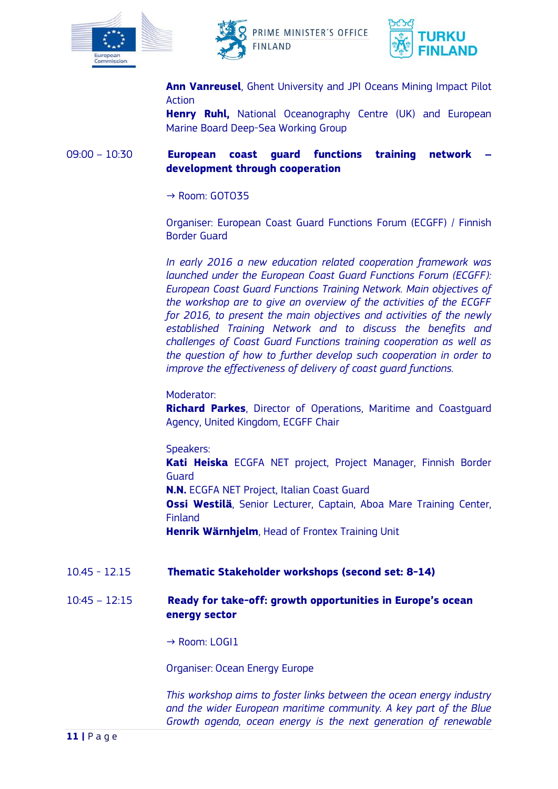





**Ann Vanreusel**, Ghent University and JPI Oceans Mining Impact Pilot Action

**Henry Ruhl,** National Oceanography Centre (UK) and European Marine Board Deep-Sea Working Group

# 09:00 – 10:30 **European coast guard functions training network – development through cooperation**

 $\rightarrow$  Room: GOTO35

Organiser: European Coast Guard Functions Forum (ECGFF) / Finnish Border Guard

*In early 2016 a new education related cooperation framework was launched under the European Coast Guard Functions Forum (ECGFF): European Coast Guard Functions Training Network. Main objectives of the workshop are to give an overview of the activities of the ECGFF for 2016, to present the main objectives and activities of the newly established Training Network and to discuss the benefits and challenges of Coast Guard Functions training cooperation as well as the question of how to further develop such cooperation in order to improve the effectiveness of delivery of coast guard functions.*

Moderator:

**Richard Parkes**, Director of Operations, Maritime and Coastguard Agency, United Kingdom, ECGFF Chair

Speakers: **Kati Heiska** ECGFA NET project, Project Manager, Finnish Border Guard **N.N.** ECGFA NET Project, Italian Coast Guard **Ossi Westilä**, Senior Lecturer, Captain, Aboa Mare Training Center, Finland **Henrik Wärnhjelm**, Head of Frontex Training Unit

10.45 - 12.15 **Thematic Stakeholder workshops (second set: 8-14)**

# 10:45 – 12:15 **Ready for take-off: growth opportunities in Europe's o ean energy sector**

 $\rightarrow$  Room: LOGI1

Organiser: Ocean Energy Europe

*This workshop aims to foster links between the ocean energy industry and the wider European maritime community. A key part of the Blue Growth agenda, ocean energy is the next generation of renewable*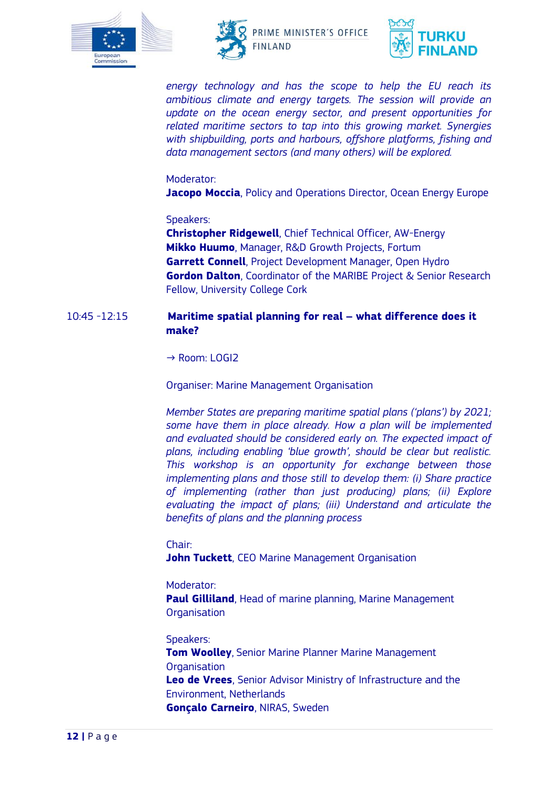





*energy technology and has the scope to help the EU reach its ambitious climate and energy targets. The session will provide an update on the ocean energy sector, and present opportunities for related maritime sectors to tap into this growing market. Synergies with shipbuilding, ports and harbours, offshore platforms, fishing and data management sectors (and many others) will be explored.*

#### Moderator:

**Jacopo Moccia**, Policy and Operations Director, Ocean Energy Europe

#### Speakers:

**Christopher Ridgewell**, Chief Technical Officer, AW-Energy **Mikko Huumo**, Manager, R&D Growth Projects, Fortum **Garrett Connell**, Project Development Manager, Open Hydro **Gordon Dalton**, Coordinator of the MARIBE Project & Senior Research Fellow, University College Cork

# 10:45 -12:15 **Maritime spatial planning for real – what difference does it make?**

#### → Room: LOGI2

Organiser: Marine Management Organisation

*Member States are preparing maritime spatial plans ('plans') by 2021; some have them in place already. How a plan will be implemented and evaluated should be considered early on. The expected impact of plans, including enabling 'blue growth', should be clear but realistic. This workshop is an opportunity for exchange between those implementing plans and those still to develop them: (i) Share practice of implementing (rather than just producing) plans; (ii) Explore evaluating the impact of plans; (iii) Understand and articulate the benefits of plans and the planning process*

#### Chair:

**John Tuckett**, CEO Marine Management Organisation

#### Moderator:

**Paul Gilliland**, Head of marine planning, Marine Management **Organisation** 

Speakers: **Tom Woolley**, Senior Marine Planner Marine Management **Organisation Leo de Vrees**, Senior Advisor Ministry of Infrastructure and the Environment, Netherlands **Gonçalo Carneiro**, NIRAS, Sweden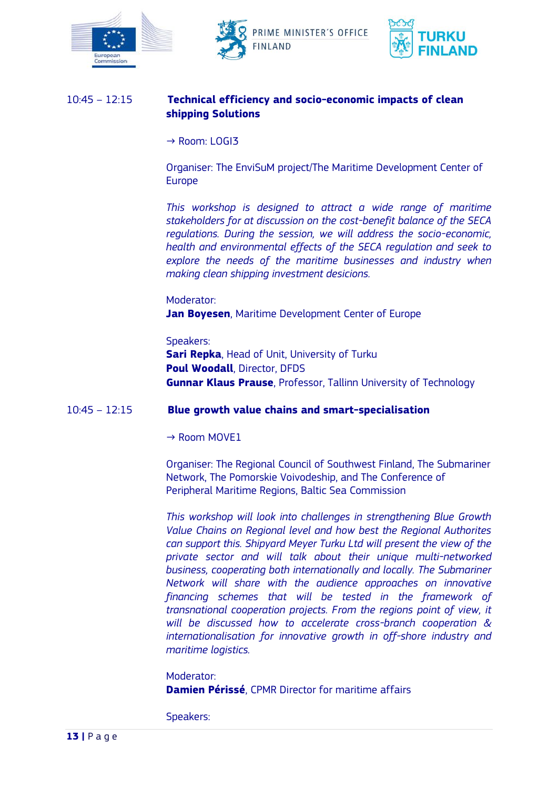





# 10:45 – 12:15 **Technical efficiency and socio-economic impacts of clean shipping Solutions**

#### → Room: LOGI3

Organiser: The EnviSuM project/The Maritime Development Center of Europe

*This workshop is designed to attract a wide range of maritime stakeholders for at discussion on the cost-benefit balance of the SECA regulations. During the session, we will address the socio-economic, health and environmental effects of the SECA regulation and seek to explore the needs of the maritime businesses and industry when making clean shipping investment desicions.*

Moderator: **Jan Boyesen**, Maritime Development Center of Europe

Speakers:

**Sari Repka**, Head of Unit, University of Turku **Poul Woodall**, Director, DFDS **Gunnar Klaus Prause**, Professor, Tallinn University of Technology

#### 10:45 – 12:15 **Blue growth value chains and smart-specialisation**

#### $\rightarrow$  Room MOVE1

Organiser: The Regional Council of Southwest Finland, The Submariner Network, The Pomorskie Voivodeship, and The Conference of Peripheral Maritime Regions, Baltic Sea Commission

*This workshop will look into challenges in strengthening Blue Growth Value Chains on Regional level and how best the Regional Authorites can support this. Shipyard Meyer Turku Ltd will present the view of the private sector and will talk about their unique multi-networked business, cooperating both internationally and locally. The Submariner Network will share with the audience approaches on innovative financing schemes that will be tested in the framework of transnational cooperation projects. From the regions point of view, it will be discussed how to accelerate cross-branch cooperation & internationalisation for innovative growth in off-shore industry and maritime logistics.*

Moderator: **Damien Périssé**, CPMR Director for maritime affairs

Speakers: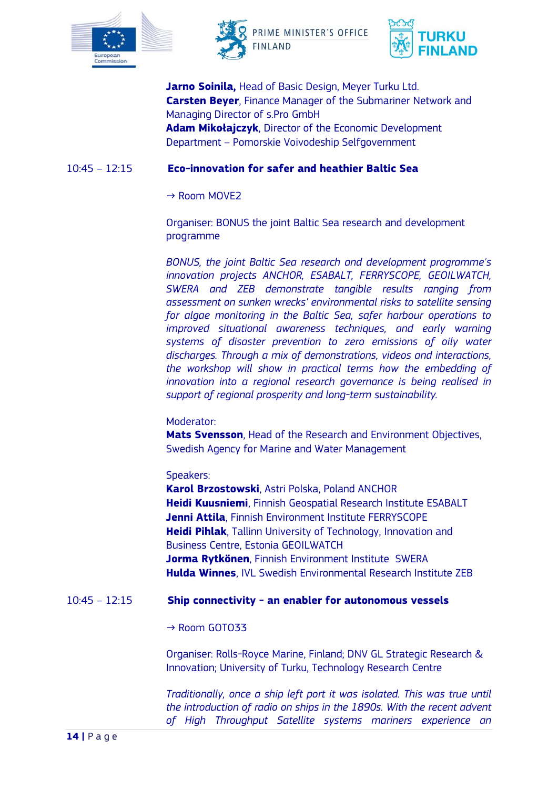





**Jarno Soinila,** Head of Basic Design, Meyer Turku Ltd. **Carsten Beyer**, Finance Manager of the Submariner Network and Managing Director of s.Pro GmbH Adam Mikołajczyk, Director of the Economic Development Department – Pomorskie Voivodeship Selfgovernment

## 10:45 – 12:15 **Eco-innovation for safer and heathier Baltic Sea**

#### $\rightarrow$  Room MOVE2

Organiser: BONUS the joint Baltic Sea research and development programme

*BONUS, the joint Baltic Sea research and development programme's innovation projects ANCHOR, ESABALT, FERRYSCOPE, GEOILWATCH, SWERA and ZEB demonstrate tangible results ranging from assessment on sunken wrecks' environmental risks to satellite sensing for algae monitoring in the Baltic Sea, safer harbour operations to improved situational awareness techniques, and early warning systems of disaster prevention to zero emissions of oily water discharges. Through a mix of demonstrations, videos and interactions, the workshop will show in practical terms how the embedding of innovation into a regional research governance is being realised in support of regional prosperity and long-term sustainability.* 

#### Moderator:

**Mats Svensson**, Head of the Research and Environment Objectives, Swedish Agency for Marine and Water Management

#### Speakers:

**Karol Brzostowski**, Astri Polska, Poland ANCHOR **Heidi Kuusniemi**, Finnish Geospatial Research Institute ESABALT **Jenni Attila**, Finnish Environment Institute FERRYSCOPE **Heidi Pihlak**, Tallinn University of Technology, Innovation and Business Centre, Estonia GEOILWATCH **Jorma Rytkönen**, Finnish Environment Institute SWERA **Hulda Winnes**, IVL Swedish Environmental Research Institute ZEB

#### 10:45 – 12:15 **Ship connectivity - an enabler for autonomous vessels**

#### → Room GOTO33

Organiser: Rolls-Royce Marine, Finland; DNV GL Strategic Research & Innovation; University of Turku, Technology Research Centre

*Traditionally, once a ship left port it was isolated. This was true until the introduction of radio on ships in the 1890s. With the recent advent of High Throughput Satellite systems mariners experience an*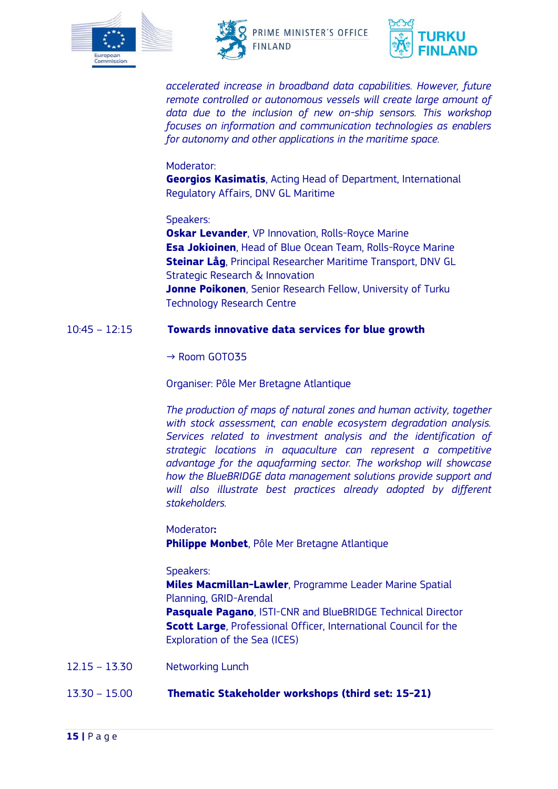





*accelerated increase in broadband data capabilities. However, future remote controlled or autonomous vessels will create large amount of data due to the inclusion of new on-ship sensors. This workshop focuses on information and communication technologies as enablers for autonomy and other applications in the maritime space.*

#### Moderator:

**Georgios Kasimatis**, Acting Head of Department, International Regulatory Affairs, DNV GL Maritime

#### Speakers:

**Oskar Levander**, VP Innovation, Rolls-Royce Marine **Esa Jokioinen**, Head of Blue Ocean Team, Rolls-Royce Marine **Steinar Låg**, Principal Researcher Maritime Transport, DNV GL Strategic Research & Innovation **Jonne Poikonen**, Senior Research Fellow, University of Turku Technology Research Centre

#### 10:45 – 12:15 **Towards innovative data services for blue growth**

#### $\rightarrow$  Room GOTO35

Organiser: Pôle Mer Bretagne Atlantique

*The production of maps of natural zones and human activity, together with stock assessment, can enable ecosystem degradation analysis. Services related to investment analysis and the identification of strategic locations in aquaculture can represent a competitive advantage for the aquafarming sector. The workshop will showcase how the BlueBRIDGE data management solutions provide support and*  will also illustrate best practices already adopted by different *stakeholders.*

## Moderator**:**

**Philippe Monbet**, Pôle Mer Bretagne Atlantique

#### Speakers:

**Miles Macmillan-Lawler**, Programme Leader Marine Spatial Planning, GRID-Arendal **Pasquale Pagano**, ISTI-CNR and BlueBRIDGE Technical Director **Scott Large**, Professional Officer, International Council for the Exploration of the Sea (ICES)

- 12.15 13.30 Networking Lunch
- 13.30 15.00 **Thematic Stakeholder workshops (third set: 15-21)**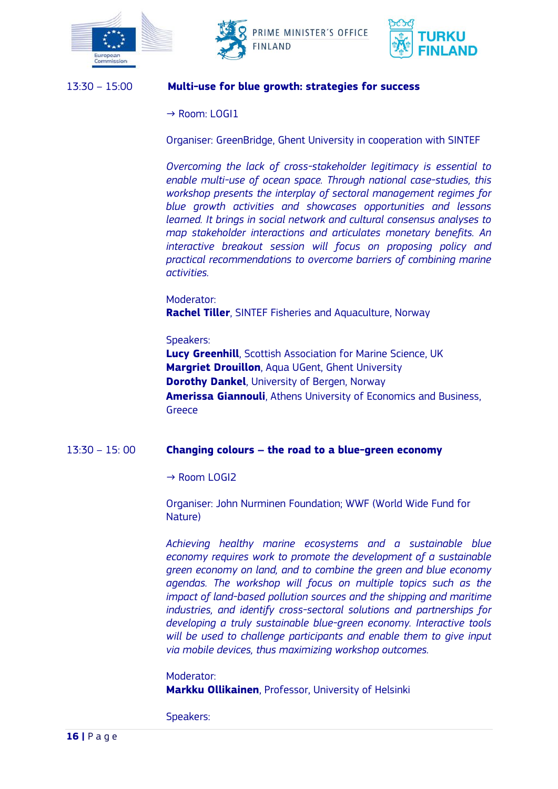





# 13:30 – 15:00 **Multi-use for blue growth: strategies for success**

 $\rightarrow$  Room: LOGI1

Organiser: GreenBridge, Ghent University in cooperation with SINTEF

*Overcoming the lack of cross-stakeholder legitimacy is essential to enable multi-use of ocean space. Through national case-studies, this workshop presents the interplay of sectoral management regimes for blue growth activities and showcases opportunities and lessons learned. It brings in social network and cultural consensus analyses to map stakeholder interactions and articulates monetary benefits. An interactive breakout session will focus on proposing policy and practical recommendations to overcome barriers of combining marine activities.*

Moderator: **Rachel Tiller**, SINTEF Fisheries and Aquaculture, Norway

Speakers:

**Lucy Greenhill**, Scottish Association for Marine Science, UK **Margriet Drouillon**, Aqua UGent, Ghent University **Dorothy Dankel**, University of Bergen, Norway **Amerissa Giannouli**, Athens University of Economics and Business, **Greece** 

# 13:30 – 15: 00 **Changing colours – the road to a blue-green economy**

→ Room LOGI2

Organiser: John Nurminen Foundation; WWF (World Wide Fund for Nature)

*Achieving healthy marine ecosystems and a sustainable blue economy requires work to promote the development of a sustainable green economy on land, and to combine the green and blue economy agendas. The workshop will focus on multiple topics such as the impact of land-based pollution sources and the shipping and maritime industries, and identify cross-sectoral solutions and partnerships for developing a truly sustainable blue-green economy. Interactive tools*  will be used to challenge participants and enable them to give input *via mobile devices, thus maximizing workshop outcomes.*

Moderator:

**Markku Ollikainen**, Professor, University of Helsinki

Speakers: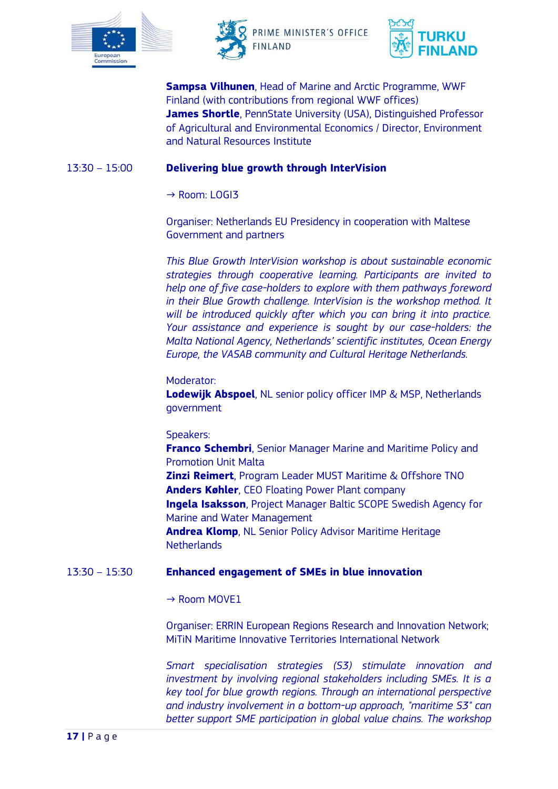





**Sampsa Vilhunen**, Head of Marine and Arctic Programme, WWF Finland (with contributions from regional WWF offices) **James Shortle**, PennState University (USA), Distinguished Professor of Agricultural and Environmental Economics / Director, Environment and Natural Resources Institute

## 13:30 – 15:00 **Delivering blue growth through InterVision**

#### $\rightarrow$  Room: LOGI3

Organiser: Netherlands EU Presidency in cooperation with Maltese Government and partners

*This Blue Growth InterVision workshop is about sustainable economic strategies through cooperative learning. Participants are invited to help one of five case-holders to explore with them pathways foreword in their Blue Growth challenge. InterVision is the workshop method. It will be introduced quickly after which you can bring it into practice. Your assistance and experience is sought by our case-holders: the Malta National Agency, Netherlands' scientific institutes, Ocean Energy Europe, the VASAB community and Cultural Heritage Netherlands.*

#### Moderator:

**Lodewijk Abspoel**, NL senior policy officer IMP & MSP, Netherlands government

#### Speakers:

**Franco Schembri**, Senior Manager Marine and Maritime Policy and Promotion Unit Malta **Zinzi Reimert**, Program Leader MUST Maritime & Offshore TNO **Anders Køhler**, CEO Floating Power Plant company **Ingela Isaksson**, Project Manager Baltic SCOPE Swedish Agency for Marine and Water Management **Andrea Klomp**, NL Senior Policy Advisor Maritime Heritage **Netherlands** 

#### 13:30 – 15:30 **Enhanced engagement of SMEs in blue innovation**

#### $\rightarrow$  Room MOVE1

Organiser: ERRIN European Regions Research and Innovation Network; MiTiN Maritime Innovative Territories International Network

*Smart specialisation strategies (S3) stimulate innovation and investment by involving regional stakeholders including SMEs. It is a key tool for blue growth regions. Through an international perspective and industry involvement in a bottom-up approach, "maritime S3" can better support SME participation in global value chains. The workshop*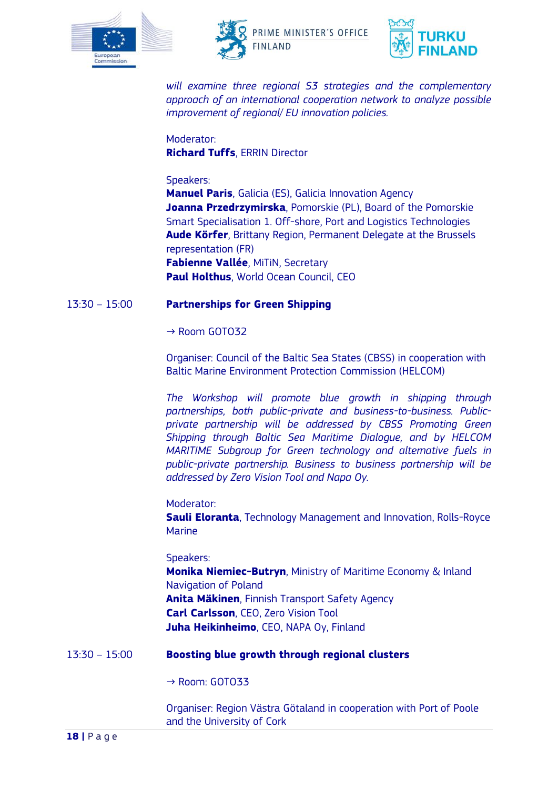





*will examine three regional S3 strategies and the complementary approach of an international cooperation network to analyze possible improvement of regional/ EU innovation policies.*

Moderator: **Richard Tuffs**, ERRIN Director

## Speakers:

**Manuel Paris**, Galicia (ES), Galicia Innovation Agency **Joanna Przedrzymirska**, Pomorskie (PL), Board of the Pomorskie Smart Specialisation 1. Off-shore, Port and Logistics Technologies **Aude Körfer**, Brittany Region, Permanent Delegate at the Brussels representation (FR) **Fabienne Vallée**, MiTiN, Secretary **Paul Holthus**, World Ocean Council, CEO

# 13:30 – 15:00 **Partnerships for Green Shipping**

 $\rightarrow$  Room GOTO32

Organiser: Council of the Baltic Sea States (CBSS) in cooperation with Baltic Marine Environment Protection Commission (HELCOM)

*The Workshop will promote blue growth in shipping through partnerships, both public-private and business-to-business. Publicprivate partnership will be addressed by CBSS Promoting Green Shipping through Baltic Sea Maritime Dialogue, and by HELCOM MARITIME Subgroup for Green technology and alternative fuels in public-private partnership. Business to business partnership will be addressed by Zero Vision Tool and Napa Oy.*

Moderator:

**Sauli Eloranta**, Technology Management and Innovation, Rolls-Royce Marine

Speakers: **Monika Niemiec-Butryn**, Ministry of Maritime Economy & Inland Navigation of Poland **Anita Mäkinen**, Finnish Transport Safety Agency **Carl Carlsson**, CEO, Zero Vision Tool **Juha Heikinheimo**, CEO, NAPA Oy, Finland

# 13:30 – 15:00 **Boosting blue growth through regional clusters**

→ Room: GOTO33

Organiser: Region Västra Götaland in cooperation with Port of Poole and the University of Cork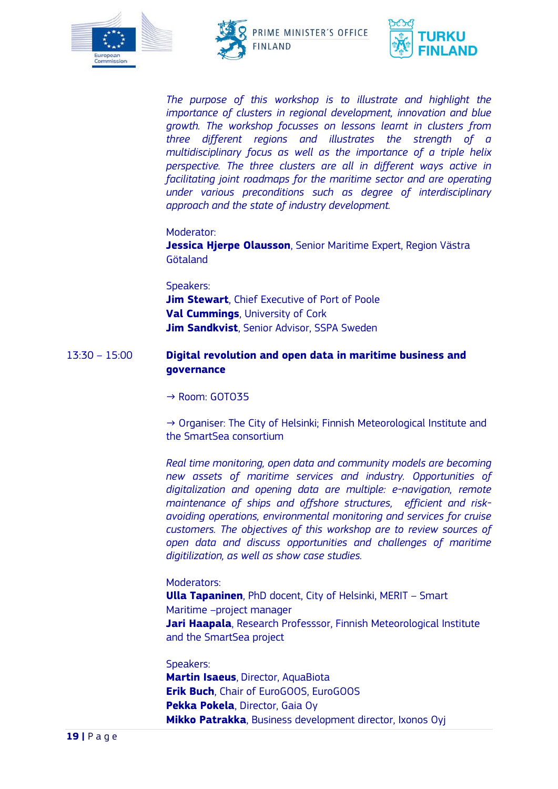





*The purpose of this workshop is to illustrate and highlight the importance of clusters in regional development, innovation and blue growth. The workshop focusses on lessons learnt in clusters from three different regions and illustrates the strength of a multidisciplinary focus as well as the importance of a triple helix perspective. The three clusters are all in different ways active in*  facilitating joint roadmaps for the maritime sector and are operating *under various preconditions such as degree of interdisciplinary approach and the state of industry development.*

#### Moderator:

**Jessica Hjerpe Olausson**, Senior Maritime Expert, Region Västra Götaland

Speakers: **Jim Stewart**, Chief Executive of Port of Poole **Val Cummings**, University of Cork **Jim Sandkvist**, Senior Advisor, SSPA Sweden

## 13:30 – 15:00 **Digital revolution and open data in maritime business and governance**

 $\rightarrow$  Room: GOTO35

 $\rightarrow$  Organiser: The City of Helsinki; Finnish Meteorological Institute and the SmartSea consortium

*Real time monitoring, open data and community models are becoming new assets of maritime services and industry. Opportunities of digitalization and opening data are multiple: e-navigation, remote maintenance of ships and offshore structures, efficient and riskavoiding operations, environmental monitoring and services for cruise customers. The objectives of this workshop are to review sources of open data and discuss opportunities and challenges of maritime digitilization, as well as show case studies.*

#### Moderators:

**Ulla Tapaninen**, PhD docent, City of Helsinki, MERIT – Smart Maritime –project manager **Jari Haapala**, Research Professsor, Finnish Meteorological Institute and the SmartSea project

Speakers: **Martin Isaeus**, Director, AquaBiota **Erik Buch**, Chair of EuroGOOS, EuroGOOS **Pekka Pokela**, Director, Gaia Oy **Mikko Patrakka**, Business development director, Ixonos Oyj